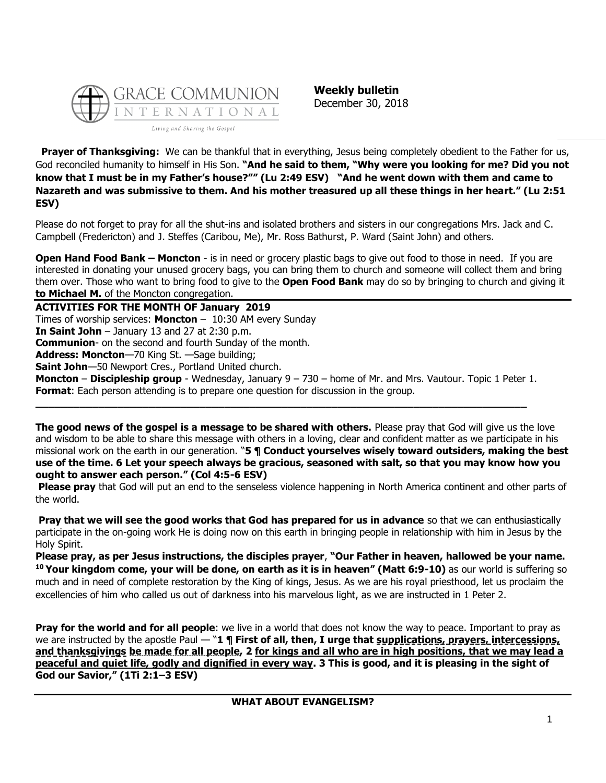

**Weekly bulletin** December 30, 2018

**Prayer of Thanksgiving:** We can be thankful that in everything, Jesus being completely obedient to the Father for us, God reconciled humanity to himself in His Son. **"And he said to them, "Why were you looking for me? Did you not know that I must be in my Father's house?"" (Lu 2:49 ESV) "And he went down with them and came to Nazareth and was submissive to them. And his mother treasured up all these things in her heart." (Lu 2:51 ESV)**

Please do not forget to pray for all the shut-ins and isolated brothers and sisters in our congregations Mrs. Jack and C. Campbell (Fredericton) and J. Steffes (Caribou, Me), Mr. Ross Bathurst, P. Ward (Saint John) and others.

**Open Hand Food Bank – Moncton** - is in need or grocery plastic bags to give out food to those in need. If you are interested in donating your unused grocery bags, you can bring them to church and someone will collect them and bring them over. Those who want to bring food to give to the **Open Food Bank** may do so by bringing to church and giving it **to Michael M.** of the Moncton congregation.

**ACTIVITIES FOR THE MONTH OF January 2019** Times of worship services: **Moncton** – 10:30 AM every Sunday **In Saint John** – January 13 and 27 at 2:30 p.m. **Communion**- on the second and fourth Sunday of the month. **Address: Moncton**—70 King St. —Sage building; **Saint John**—50 Newport Cres., Portland United church. **Moncton** – **Discipleship group** - Wednesday, January 9 – 730 – home of Mr. and Mrs. Vautour. Topic 1 Peter 1. **Format**: Each person attending is to prepare one question for discussion in the group.

**\_\_\_\_\_\_\_\_\_\_\_\_\_\_\_\_\_\_\_\_\_\_\_\_\_\_\_\_\_\_\_\_\_\_\_\_\_\_\_\_\_\_\_\_\_\_\_\_\_\_\_\_\_\_\_\_\_\_\_\_\_\_\_\_\_\_\_\_\_\_\_\_\_\_\_\_\_\_**

**The good news of the gospel is a message to be shared with others.** Please pray that God will give us the love and wisdom to be able to share this message with others in a loving, clear and confident matter as we participate in his missional work on the earth in our generation. "**5 ¶ Conduct yourselves wisely toward outsiders, making the best use of the time. 6 Let your speech always be gracious, seasoned with salt, so that you may know how you ought to answer each person." (Col 4:5-6 ESV)**

**Please pray** that God will put an end to the senseless violence happening in North America continent and other parts of the world.

**Pray that we will see the good works that God has prepared for us in advance** so that we can enthusiastically participate in the on-going work He is doing now on this earth in bringing people in relationship with him in Jesus by the Holy Spirit.

**Please pray, as per Jesus instructions, the disciples prayer**, **"Our Father in heaven, hallowed be your name. <sup>10</sup> Your kingdom come, your will be done, on earth as it is in heaven" (Matt 6:9-10)** as our world is suffering so much and in need of complete restoration by the King of kings, Jesus. As we are his royal priesthood, let us proclaim the excellencies of him who called us out of darkness into his marvelous light, as we are instructed in 1 Peter 2.

**Pray for the world and for all people**: we live in a world that does not know the way to peace. Important to pray as we are instructed by the apostle Paul — "**1 ¶ First of all, then, I urge that supplications, prayers, intercessions, and thanksgivings be made for all people, 2 for kings and all who are in high positions, that we may lead a peaceful and quiet life, godly and dignified in every way. 3 This is good, and it is pleasing in the sight of God our Savior," (1Ti 2:1–3 ESV)**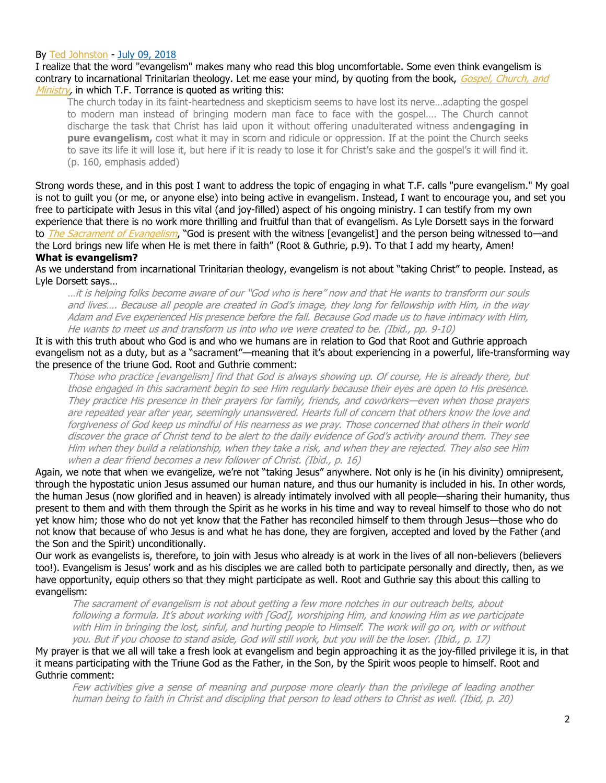## By [Ted Johnston](https://www.blogger.com/profile/08677739021765621811) - [July 09, 2018](http://thesurprisinggodblog.gci.org/2018/07/what-about-evangelism.html)

I realize that the word "evangelism" makes many who read this blog uncomfortable. Some even think evangelism is contrary to incarnational Trinitarian theology. Let me ease your mind, by quoting from the book, Gospel, Church, and [Ministry,](https://books.google.com/books?id=YNBMAwAAQBAJ&printsec=frontcover#v=onepage&q&f=false) in which T.F. Torrance is quoted as writing this:

The church today in its faint-heartedness and skepticism seems to have lost its nerve…adapting the gospel to modern man instead of bringing modern man face to face with the gospel…. The Church cannot discharge the task that Christ has laid upon it without offering unadulterated witness and**engaging in pure evangelism,** cost what it may in scorn and ridicule or oppression. If at the point the Church seeks to save its life it will lose it, but here if it is ready to lose it for Christ's sake and the gospel's it will find it. (p. 160, emphasis added)

Strong words these, and in this post I want to address the topic of engaging in what T.F. calls "pure evangelism." My goal is not to guilt you (or me, or anyone else) into being active in evangelism. Instead, I want to encourage you, and set you free to participate with Jesus in this vital (and joy-filled) aspect of his ongoing ministry. I can testify from my own experience that there is no work more thrilling and fruitful than that of evangelism. As Lyle Dorsett says in the forward to *[The Sacrament of Evangelism](https://books.google.com/books?id=F7gVWxciUPoC&printsec=frontcover#v=onepage&q&f=false)*, "God is present with the witness [evangelist] and the person being witnessed to—and the Lord brings new life when He is met there in faith" (Root & Guthrie, p.9). To that I add my hearty, Amen! **What is evangelism?**

As we understand from incarnational Trinitarian theology, evangelism is not about "taking Christ" to people. Instead, as Lyle Dorsett says…

…it is helping folks become aware of our "God who is here" now and that He wants to transform our souls and lives…. Because all people are created in God's image, they long for fellowship with Him, in the way Adam and Eve experienced His presence before the fall. Because God made us to have intimacy with Him, He wants to meet us and transform us into who we were created to be. (Ibid., pp. 9-10)

It is with this truth about who God is and who we humans are in relation to God that Root and Guthrie approach evangelism not as a duty, but as a "sacrament"—meaning that it's about experiencing in a powerful, life-transforming way the presence of the triune God. Root and Guthrie comment:

Those who practice [evangelism] find that God is always showing up. Of course, He is already there, but those engaged in this sacrament begin to see Him regularly because their eyes are open to His presence. They practice His presence in their prayers for family, friends, and coworkers—even when those prayers are repeated year after year, seemingly unanswered. Hearts full of concern that others know the love and forgiveness of God keep us mindful of His nearness as we pray. Those concerned that others in their world discover the grace of Christ tend to be alert to the daily evidence of God's activity around them. They see Him when they build a relationship, when they take a risk, and when they are rejected. They also see Him when a dear friend becomes a new follower of Christ. (Ibid., p. 16)

Again, we note that when we evangelize, we're not "taking Jesus" anywhere. Not only is he (in his divinity) omnipresent, through the hypostatic union Jesus assumed our human nature, and thus our humanity is included in his. In other words, the human Jesus (now glorified and in heaven) is already intimately involved with all people—sharing their humanity, thus present to them and with them through the Spirit as he works in his time and way to reveal himself to those who do not yet know him; those who do not yet know that the Father has reconciled himself to them through Jesus—those who do not know that because of who Jesus is and what he has done, they are forgiven, accepted and loved by the Father (and the Son and the Spirit) unconditionally.

Our work as evangelists is, therefore, to join with Jesus who already is at work in the lives of all non-believers (believers too!). Evangelism is Jesus' work and as his disciples we are called both to participate personally and directly, then, as we have opportunity, equip others so that they might participate as well. Root and Guthrie say this about this calling to evangelism:

The sacrament of evangelism is not about getting a few more notches in our outreach belts, about following a formula. It's about working with [God], worshiping Him, and knowing Him as we participate with Him in bringing the lost, sinful, and hurting people to Himself. The work will go on, with or without you. But if you choose to stand aside, God will still work, but you will be the loser. (Ibid., p. 17)

My prayer is that we all will take a fresh look at evangelism and begin approaching it as the joy-filled privilege it is, in that it means participating with the Triune God as the Father, in the Son, by the Spirit woos people to himself. Root and Guthrie comment:

Few activities give a sense of meaning and purpose more clearly than the privilege of leading another human being to faith in Christ and discipling that person to lead others to Christ as well. (Ibid, p. 20)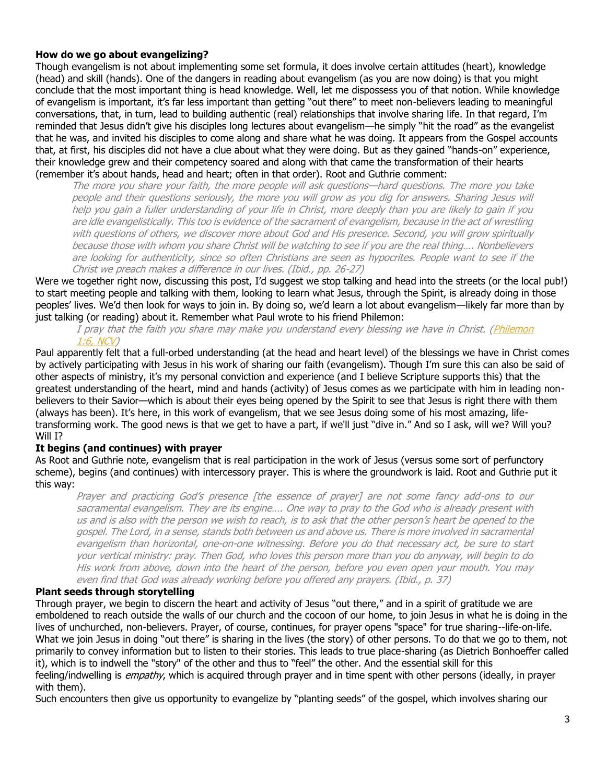## **How do we go about evangelizing?**

Though evangelism is not about implementing some set formula, it does involve certain attitudes (heart), knowledge (head) and skill (hands). One of the dangers in reading about evangelism (as you are now doing) is that you might conclude that the most important thing is head knowledge. Well, let me dispossess you of that notion. While knowledge of evangelism is important, it's far less important than getting "out there" to meet non-believers leading to meaningful conversations, that, in turn, lead to building authentic (real) relationships that involve sharing life. In that regard, I'm reminded that Jesus didn't give his disciples long lectures about evangelism—he simply "hit the road" as the evangelist that he was, and invited his disciples to come along and share what he was doing. It appears from the Gospel accounts that, at first, his disciples did not have a clue about what they were doing. But as they gained "hands-on" experience, their knowledge grew and their competency soared and along with that came the transformation of their hearts (remember it's about hands, head and heart; often in that order). Root and Guthrie comment:

The more you share your faith, the more people will ask questions—hard questions. The more you take people and their questions seriously, the more you will grow as you dig for answers. Sharing Jesus will help you gain a fuller understanding of your life in Christ, more deeply than you are likely to gain if you are idle evangelistically. This too is evidence of the sacrament of evangelism, because in the act of wrestling with questions of others, we discover more about God and His presence. Second, you will grow spiritually because those with whom you share Christ will be watching to see if you are the real thing…. Nonbelievers are looking for authenticity, since so often Christians are seen as hypocrites. People want to see if the Christ we preach makes a difference in our lives. (Ibid., pp. 26-27)

Were we together right now, discussing this post, I'd suggest we stop talking and head into the streets (or the local pub!) to start meeting people and talking with them, looking to learn what Jesus, through the Spirit, is already doing in those peoples' lives. We'd then look for ways to join in. By doing so, we'd learn a lot about evangelism—likely far more than by just talking (or reading) about it. Remember what Paul wrote to his friend Philemon:

I pray that the faith you share may make you understand every blessing we have in Christ. [\(Philemon](https://biblia.com/bible/ncv/Philem%201.6)  [1:6, NCV\)](https://biblia.com/bible/ncv/Philem%201.6)

Paul apparently felt that a full-orbed understanding (at the head and heart level) of the blessings we have in Christ comes by actively participating with Jesus in his work of sharing our faith (evangelism). Though I'm sure this can also be said of other aspects of ministry, it's my personal conviction and experience (and I believe Scripture supports this) that the greatest understanding of the heart, mind and hands (activity) of Jesus comes as we participate with him in leading nonbelievers to their Savior—which is about their eyes being opened by the Spirit to see that Jesus is right there with them (always has been). It's here, in this work of evangelism, that we see Jesus doing some of his most amazing, lifetransforming work. The good news is that we get to have a part, if we'll just "dive in." And so I ask, will we? Will you? Will I?

#### **It begins (and continues) with prayer**

As Root and Guthrie note, evangelism that is real participation in the work of Jesus (versus some sort of perfunctory scheme), begins (and continues) with intercessory prayer. This is where the groundwork is laid. Root and Guthrie put it this way:

Prayer and practicing God's presence [the essence of prayer] are not some fancy add-ons to our sacramental evangelism. They are its engine…. One way to pray to the God who is already present with us and is also with the person we wish to reach, is to ask that the other person's heart be opened to the gospel. The Lord, in a sense, stands both between us and above us. There is more involved in sacramental evangelism than horizontal, one-on-one witnessing. Before you do that necessary act, be sure to start your vertical ministry: pray. Then God, who loves this person more than you do anyway, will begin to do His work from above, down into the heart of the person, before you even open your mouth. You may even find that God was already working before you offered any prayers. (Ibid., p. 37)

#### **Plant seeds through storytelling**

Through prayer, we begin to discern the heart and activity of Jesus "out there," and in a spirit of gratitude we are emboldened to reach outside the walls of our church and the cocoon of our home, to join Jesus in what he is doing in the lives of unchurched, non-believers. Prayer, of course, continues, for prayer opens "space" for true sharing--life-on-life. What we join Jesus in doing "out there" is sharing in the lives (the story) of other persons. To do that we go to them, not primarily to convey information but to listen to their stories. This leads to true place-sharing (as Dietrich Bonhoeffer called it), which is to indwell the "story" of the other and thus to "feel" the other. And the essential skill for this feeling/indwelling is *empathy*, which is acquired through prayer and in time spent with other persons (ideally, in prayer with them).

Such encounters then give us opportunity to evangelize by "planting seeds" of the gospel, which involves sharing our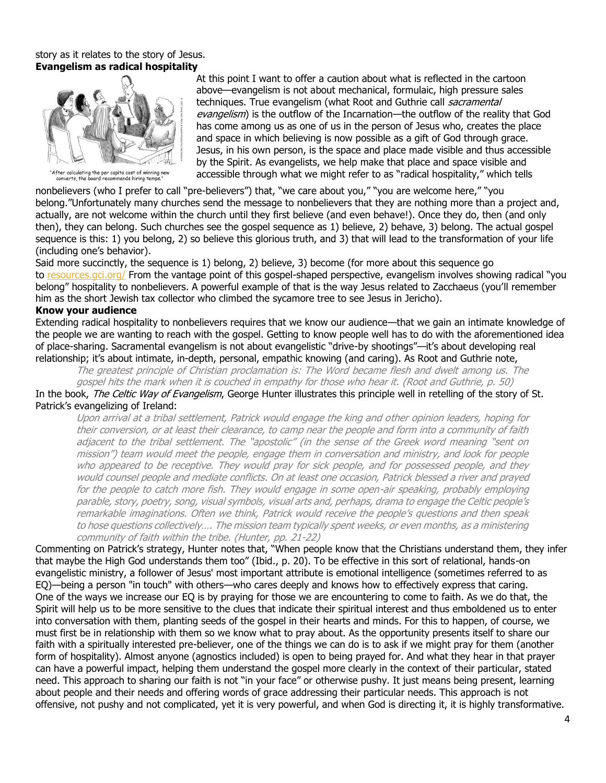## story as it relates to the story of Jesus. **Evangelism as radical hospitality**



"After calculating the per capita cost of winning new<br>converts, the board recommends hiring temps."

At this point I want to offer a caution about what is reflected in the cartoon above—evangelism is not about mechanical, formulaic, high pressure sales techniques. True evangelism (what Root and Guthrie call sacramental evangelism) is the outflow of the Incarnation—the outflow of the reality that God has come among us as one of us in the person of Jesus who, creates the place and space in which believing is now possible as a gift of God through grace. Jesus, in his own person, is the space and place made visible and thus accessible by the Spirit. As evangelists, we help make that place and space visible and accessible through what we might refer to as "radical hospitality," which tells

nonbelievers (who I prefer to call "pre-believers") that, "we care about you," "you are welcome here," "you belong."Unfortunately many churches send the message to nonbelievers that they are nothing more than a project and, actually, are not welcome within the church until they first believe (and even behave!). Once they do, then (and only then), they can belong. Such churches see the gospel sequence as 1) believe, 2) behave, 3) belong. The actual gospel sequence is this: 1) you belong, 2) so believe this glorious truth, and 3) that will lead to the transformation of your life (including one's behavior).

Said more succinctly, the sequence is 1) belong, 2) believe, 3) become (for more about this sequence go to [resources.gci.org/](https://resources.gci.org/) From the vantage point of this gospel-shaped perspective, evangelism involves showing radical "you belong" hospitality to nonbelievers. A powerful example of that is the way Jesus related to Zacchaeus (you'll remember him as the short Jewish tax collector who climbed the sycamore tree to see Jesus in Jericho).

## **Know your audience**

Extending radical hospitality to nonbelievers requires that we know our audience—that we gain an intimate knowledge of the people we are wanting to reach with the gospel. Getting to know people well has to do with the aforementioned idea of place-sharing. Sacramental evangelism is not about evangelistic "drive-by shootings"—it's about developing real relationship; it's about intimate, in-depth, personal, empathic knowing (and caring). As Root and Guthrie note,

The greatest principle of Christian proclamation is: The Word became flesh and dwelt among us. The gospel hits the mark when it is couched in empathy for those who hear it. (Root and Guthrie, p. 50) In the book, The Celtic Way of Evangelism, George Hunter illustrates this principle well in retelling of the story of St.

Patrick's evangelizing of Ireland:

Upon arrival at a tribal settlement, Patrick would engage the king and other opinion leaders, hoping for their conversion, or at least their clearance, to camp near the people and form into a community of faith adjacent to the tribal settlement. The "apostolic" (in the sense of the Greek word meaning "sent on mission") team would meet the people, engage them in conversation and ministry, and look for people who appeared to be receptive. They would pray for sick people, and for possessed people, and they would counsel people and mediate conflicts. On at least one occasion, Patrick blessed a river and prayed for the people to catch more fish. They would engage in some open-air speaking, probably employing parable, story, poetry, song, visual symbols, visual arts and, perhaps, drama to engage the Celtic people's remarkable imaginations. Often we think, Patrick would receive the people's questions and then speak to hose questions collectively…. The mission team typically spent weeks, or even months, as a ministering community of faith within the tribe. (Hunter, pp. 21-22)

Commenting on Patrick's strategy, Hunter notes that, "When people know that the Christians understand them, they infer that maybe the High God understands them too" (Ibid., p. 20). To be effective in this sort of relational, hands-on evangelistic ministry, a follower of Jesus' most important attribute is emotional intelligence (sometimes referred to as EQ)—being a person "in touch" with others—who cares deeply and knows how to effectively express that caring. One of the ways we increase our EQ is by praying for those we are encountering to come to faith. As we do that, the Spirit will help us to be more sensitive to the clues that indicate their spiritual interest and thus emboldened us to enter into conversation with them, planting seeds of the gospel in their hearts and minds. For this to happen, of course, we must first be in relationship with them so we know what to pray about. As the opportunity presents itself to share our faith with a spiritually interested pre-believer, one of the things we can do is to ask if we might pray for them (another form of hospitality). Almost anyone (agnostics included) is open to being prayed for. And what they hear in that prayer can have a powerful impact, helping them understand the gospel more clearly in the context of their particular, stated need. This approach to sharing our faith is not "in your face" or otherwise pushy. It just means being present, learning about people and their needs and offering words of grace addressing their particular needs. This approach is not offensive, not pushy and not complicated, yet it is very powerful, and when God is directing it, it is highly transformative.